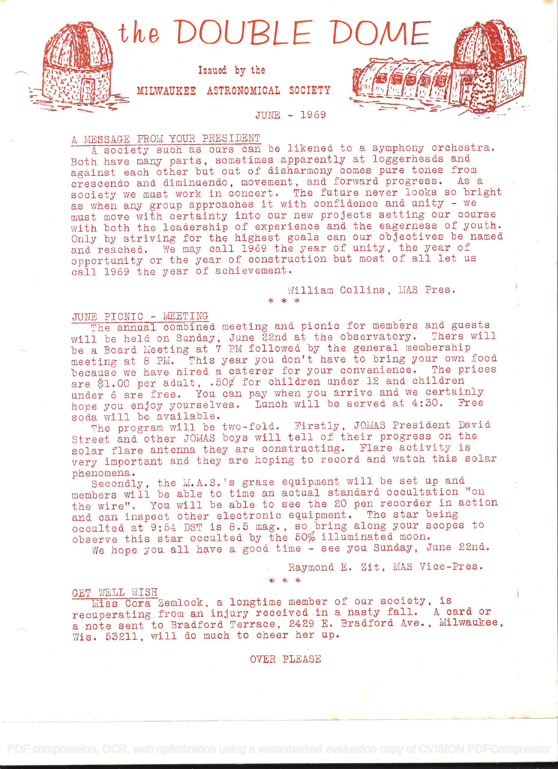

Issued by the

MILWAUKEE ASTRONOMICAL SOCIETY

JUNE - 1969

# A MESSAGE FROM YOUR PRESIDENT

A society such as ours can be likened to a symphony orchestra. Both have many parts, sometimes apparently at loggerheads and against each other but out of disharmony comes pure tones from crescendo and. diminaendo, movement, and. forward progress. As <sup>a</sup> society we must work in concert. The future never looks so bright as when any group approaches it with confidence and unity - we must move with certainty into our new projects setting our course with both the leadership of experience and the eagerness of youth. Only by striving for the highest goals can our objectives be named and reached. We may call 1969 the year of unity, the year of opportunity or the year of construction but most of all let us call 1969 the year of achievement.

William Collins, MAS Pres.

## JUNE PICNIC - MEETING

The annual combined meeting and picnic for members and guests will be held on Sunday, June 22nd at the observatory. There will be a Board Meeting at 7 PM followed by the general membership meeting at 8 PM. This year you don't have to bring your own food because we have hired a caterer for your convenience. The prices are \$1.00 per adult,  $.50\frac{\cancel{0}}{\cancel{0}}$  for children under 12 and children under 6 are free. You can pay when you arrive and we certainly hope you enjoy yourselves. Lunch will be served at 4:30. Free soda will be available.

The program will be two-fold. Firstly, JOMAS President David Street and other JOMAS boys will tell of their progress on the solar flare antenna they are constructing. Flare activity is very important and they are hoping to record and watch this solar

phenomena.<br>Secondly, the M.A.S.'s graze equipment will be set up and members will be able to time an actual standard occultation "on the wire". You will be able to see the 20 pen recorder in action and can inspect other electronic equipment. The star being occulted at 9:54 DST is 8.5 mag. , so bring along your scopes to observe this star occulted by the 50% illuminated moon.

Ve hope you all have a good time - see you Sunday, June 22nd.

 $* * *$ 

Raymond E. Zit, MAS Vice-Pres.

GET WELL WISH

Miss Cora Zemlock, a longtime member of our society, is recuperating from an injury received. in a nasty fall. A card or <sup>a</sup>note sent to Bradford Terrace, 2429 E. Bradford Ave., Milwaukee, Wis. 53211, will do much to cheer her up.

OVER PLEASE